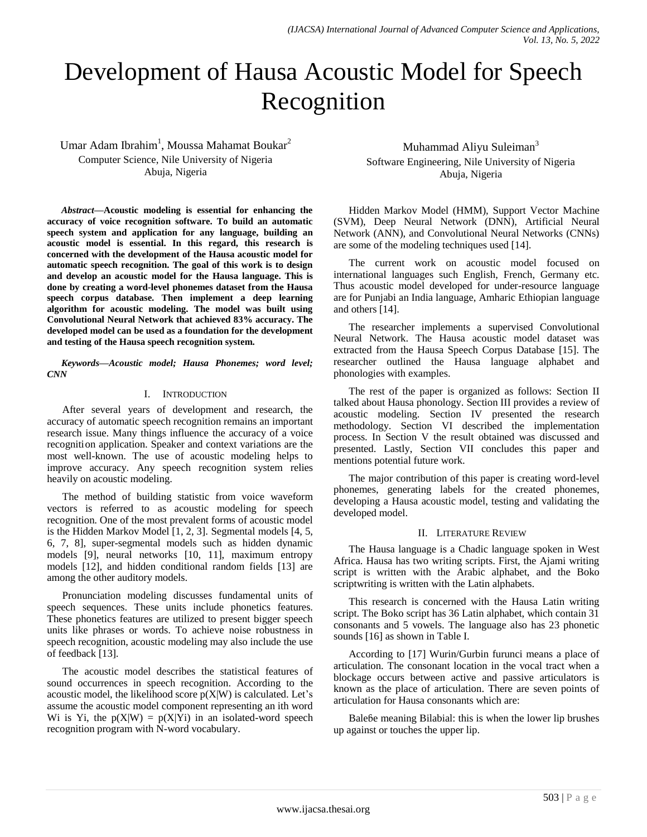# Development of Hausa Acoustic Model for Speech Recognition

Umar Adam Ibrahim<sup>1</sup>, Moussa Mahamat Boukar<sup>2</sup> Computer Science, Nile University of Nigeria Abuja, Nigeria

*Abstract***—Acoustic modeling is essential for enhancing the accuracy of voice recognition software. To build an automatic speech system and application for any language, building an acoustic model is essential. In this regard, this research is concerned with the development of the Hausa acoustic model for automatic speech recognition. The goal of this work is to design and develop an acoustic model for the Hausa language. This is done by creating a word-level phonemes dataset from the Hausa speech corpus database. Then implement a deep learning algorithm for acoustic modeling. The model was built using Convolutional Neural Network that achieved 83% accuracy. The developed model can be used as a foundation for the development and testing of the Hausa speech recognition system.**

*Keywords—Acoustic model; Hausa Phonemes; word level; CNN*

### I. INTRODUCTION

After several years of development and research, the accuracy of automatic speech recognition remains an important research issue. Many things influence the accuracy of a voice recognition application. Speaker and context variations are the most well-known. The use of acoustic modeling helps to improve accuracy. Any speech recognition system relies heavily on acoustic modeling.

The method of building statistic from voice waveform vectors is referred to as acoustic modeling for speech recognition. One of the most prevalent forms of acoustic model is the Hidden Markov Model [1, 2, 3]. Segmental models [4, 5, 6, 7, 8], super-segmental models such as hidden dynamic models [9], neural networks [10, 11], maximum entropy models [12], and hidden conditional random fields [13] are among the other auditory models.

Pronunciation modeling discusses fundamental units of speech sequences. These units include phonetics features. These phonetics features are utilized to present bigger speech units like phrases or words. To achieve noise robustness in speech recognition, acoustic modeling may also include the use of feedback [13].

The acoustic model describes the statistical features of sound occurrences in speech recognition. According to the acoustic model, the likelihood score  $p(X|W)$  is calculated. Let's assume the acoustic model component representing an ith word Wi is Yi, the  $p(X|W) = p(X|Y)$  in an isolated-word speech recognition program with N-word vocabulary.

Muhammad Aliyu Suleiman<sup>3</sup> Software Engineering, Nile University of Nigeria Abuja, Nigeria

Hidden Markov Model (HMM), Support Vector Machine (SVM), Deep Neural Network (DNN), Artificial Neural Network (ANN), and Convolutional Neural Networks (CNNs) are some of the modeling techniques used [14].

The current work on acoustic model focused on international languages such English, French, Germany etc. Thus acoustic model developed for under-resource language are for Punjabi an India language, Amharic Ethiopian language and others [14].

The researcher implements a supervised Convolutional Neural Network. The Hausa acoustic model dataset was extracted from the Hausa Speech Corpus Database [15]. The researcher outlined the Hausa language alphabet and phonologies with examples.

The rest of the paper is organized as follows: Section II talked about Hausa phonology. Section III provides a review of acoustic modeling. Section IV presented the research methodology. Section VI described the implementation process. In Section V the result obtained was discussed and presented. Lastly, Section VII concludes this paper and mentions potential future work.

The major contribution of this paper is creating word-level phonemes, generating labels for the created phonemes, developing a Hausa acoustic model, testing and validating the developed model.

#### II. LITERATURE REVIEW

The Hausa language is a Chadic language spoken in West Africa. Hausa has two writing scripts. First, the Ajami writing script is written with the Arabic alphabet, and the Boko scriptwriting is written with the Latin alphabets.

This research is concerned with the Hausa Latin writing script. The Boko script has 36 Latin alphabet, which contain 31 consonants and 5 vowels. The language also has 23 phonetic sounds [16] as shown in Table I.

According to [17] Wurin/Gurbin furunci means a place of articulation. The consonant location in the vocal tract when a blockage occurs between active and passive articulators is known as the place of articulation. There are seven points of articulation for Hausa consonants which are:

Baleɓe meaning Bilabial: this is when the lower lip brushes up against or touches the upper lip.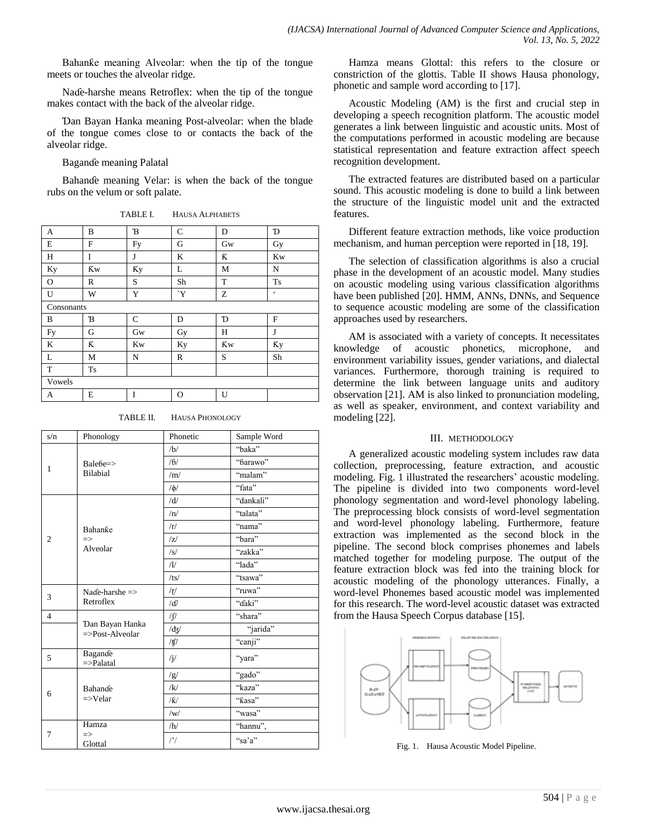Bahanƙe meaning Alveolar: when the tip of the tongue meets or touches the alveolar ridge.

Naɗe-harshe means Retroflex: when the tip of the tongue makes contact with the back of the alveolar ridge.

Ɗan Bayan Hanka meaning Post-alveolar: when the blade of the tongue comes close to or contacts the back of the alveolar ridge.

Baganɗe meaning Palatal

Bahanɗe meaning Velar: is when the back of the tongue rubs on the velum or soft palate.

TABLE I. HAUSA ALPHABETS

| A          | B            | B            | $\mathcal{C}$ | D         | D             |
|------------|--------------|--------------|---------------|-----------|---------------|
| E          | $\mathbf{F}$ | Fy           | G             | Gw        | Gy            |
| Η          | I            | J            | K             | K         | <b>Kw</b>     |
| Ky         | <b>Kw</b>    | Кy           | L             | M         | N             |
| $\Omega$   | R            | S            | Sh            | T         | <b>Ts</b>     |
| U          | W            | Y            | Y'            | Z         | $\pmb{\zeta}$ |
| Consonants |              |              |               |           |               |
| B          | B            | $\mathsf{C}$ | D             | D         | $\mathbf{F}$  |
| Fy         | G            | Gw           | Gy            | Η         | J             |
| K          | K            | <b>Kw</b>    | <b>Ky</b>     | <b>Kw</b> | Кy            |
| L          | M            | N            | $\mathbb{R}$  | S         | Sh            |
| T          | <b>Ts</b>    |              |               |           |               |
| Vowels     |              |              |               |           |               |
| А          | E            | I            | O             | U         |               |

TABLE II. HAUSA PHONOLOGY

| s/n                     | Phonology                        | Phonetic              | Sample Word |
|-------------------------|----------------------------------|-----------------------|-------------|
| 1                       | $Balebe = >$                     | /b/                   | "baka"      |
|                         |                                  | /6/                   | "barawo"    |
|                         | <b>Bilabial</b>                  | /m/                   | "malam"     |
|                         |                                  | $/\phi/$              | "fata"      |
|                         |                                  | /d/                   | "dankali"   |
|                         |                                  | /n/                   | "talata"    |
|                         | Bahanke                          | /r/                   | "nama"      |
| $\overline{c}$          | $\Rightarrow$                    | z                     | "bara"      |
|                         | Alveolar                         | /s/                   | "zakka"     |
|                         |                                  | $\frac{\pi}{2}$       | "lada"      |
|                         |                                  | /ts/                  | "tsawa"     |
| 3<br>Retroflex          | Nade-harshe $\Rightarrow$        | $\sqrt{\mathfrak{r}}$ | "ruwa"      |
|                         |                                  | /d                    | "daki"      |
| $\overline{4}$          |                                  | ∕∫/                   | "shara"     |
| $=\text{Post-Alveolar}$ | Dan Bayan Hanka                  | /dy/                  | "jarida"    |
|                         |                                  | /ţſ                   | "canji"     |
| 5                       | Bagande<br>$=\frac{}{}$ -Palatal | $\mathbf{j}/$         | "yara"      |
| 6                       |                                  | /g/                   | "gado"      |
|                         | Bahande<br>$=\gt{V}$ elar        | /k/                   | "kaza"      |
|                         |                                  | /K/                   | "ƙasa"      |
|                         |                                  | /w/                   | "wasa"      |
|                         | Hamza                            | /h/                   | "hannu",    |
| 7                       | $\Rightarrow$<br>Glottal         | $/$ '                 | "sa'a"      |

Hamza means Glottal: this refers to the closure or constriction of the glottis. Table II shows Hausa phonology, phonetic and sample word according to [17].

Acoustic Modeling (AM) is the first and crucial step in developing a speech recognition platform. The acoustic model generates a link between linguistic and acoustic units. Most of the computations performed in acoustic modeling are because statistical representation and feature extraction affect speech recognition development.

The extracted features are distributed based on a particular sound. This acoustic modeling is done to build a link between the structure of the linguistic model unit and the extracted features.

Different feature extraction methods, like voice production mechanism, and human perception were reported in [18, 19].

The selection of classification algorithms is also a crucial phase in the development of an acoustic model. Many studies on acoustic modeling using various classification algorithms have been published [20]. HMM, ANNs, DNNs, and Sequence to sequence acoustic modeling are some of the classification approaches used by researchers.

AM is associated with a variety of concepts. It necessitates knowledge of acoustic phonetics, microphone, and environment variability issues, gender variations, and dialectal variances. Furthermore, thorough training is required to determine the link between language units and auditory observation [21]. AM is also linked to pronunciation modeling, as well as speaker, environment, and context variability and modeling [22].

#### III. METHODOLOGY

A generalized acoustic modeling system includes raw data collection, preprocessing, feature extraction, and acoustic modeling. Fig. 1 illustrated the researchers' acoustic modeling. The pipeline is divided into two components word-level phonology segmentation and word-level phonology labeling. The preprocessing block consists of word-level segmentation and word-level phonology labeling. Furthermore, feature extraction was implemented as the second block in the pipeline. The second block comprises phonemes and labels matched together for modeling purpose. The output of the feature extraction block was fed into the training block for acoustic modeling of the phonology utterances. Finally, a word-level Phonemes based acoustic model was implemented for this research. The word-level acoustic dataset was extracted from the Hausa Speech Corpus database [15].



Fig. 1. Hausa Acoustic Model Pipeline.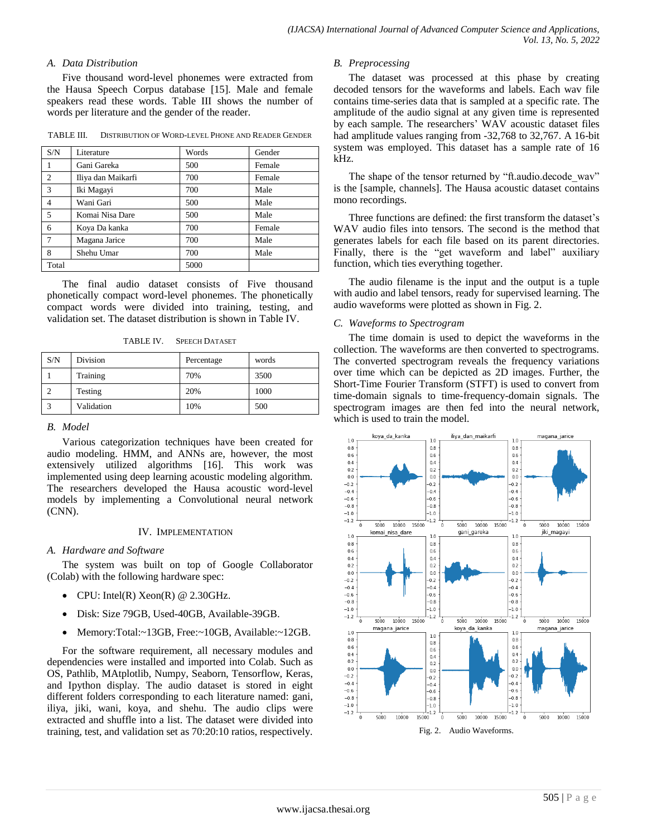### *A. Data Distribution*

Five thousand word-level phonemes were extracted from the Hausa Speech Corpus database [15]. Male and female speakers read these words. Table III shows the number of words per literature and the gender of the reader.

TABLE III. DISTRIBUTION OF WORD-LEVEL PHONE AND READER GENDER

| S/N            | Literature         | Words | Gender |
|----------------|--------------------|-------|--------|
| 1              | Gani Gareka        | 500   | Female |
| 2              | Iliya dan Maikarfi | 700   | Female |
| 3              | Iki Magayi         | 700   | Male   |
| $\overline{4}$ | Wani Gari          | 500   | Male   |
| 5              | Komai Nisa Dare    | 500   | Male   |
| 6              | Koya Da kanka      | 700   | Female |
| $\overline{7}$ | Magana Jarice      | 700   | Male   |
| 8              | Shehu Umar         | 700   | Male   |
| Total          |                    | 5000  |        |

The final audio dataset consists of Five thousand phonetically compact word-level phonemes. The phonetically compact words were divided into training, testing, and validation set. The dataset distribution is shown in Table IV.

TABLE IV. SPEECH DATASET

| S/N | Division   | Percentage | words |
|-----|------------|------------|-------|
|     | Training   | 70%        | 3500  |
|     | Testing    | 20%        | 1000  |
|     | Validation | 10%        | 500   |

#### *B. Model*

Various categorization techniques have been created for audio modeling. HMM, and ANNs are, however, the most extensively utilized algorithms [16]. This work was implemented using deep learning acoustic modeling algorithm. The researchers developed the Hausa acoustic word-level models by implementing a Convolutional neural network (CNN).

#### IV. IMPLEMENTATION

#### *A. Hardware and Software*

The system was built on top of Google Collaborator (Colab) with the following hardware spec:

- CPU: Intel(R)  $Xeon(R)$  @ 2.30GHz.
- Disk: Size 79GB, Used-40GB, Available-39GB.
- Memory:Total:~13GB, Free:~10GB, Available:~12GB.

For the software requirement, all necessary modules and dependencies were installed and imported into Colab. Such as OS, Pathlib, MAtplotlib, Numpy, Seaborn, Tensorflow, Keras, and Ipython display. The audio dataset is stored in eight different folders corresponding to each literature named: gani, iliya, jiki, wani, koya, and shehu. The audio clips were extracted and shuffle into a list. The dataset were divided into training, test, and validation set as 70:20:10 ratios, respectively.

#### *B. Preprocessing*

The dataset was processed at this phase by creating decoded tensors for the waveforms and labels. Each wav file contains time-series data that is sampled at a specific rate. The amplitude of the audio signal at any given time is represented by each sample. The researchers' WAV acoustic dataset files had amplitude values ranging from  $-32,768$  to 32,767. A 16-bit system was employed. This dataset has a sample rate of 16 kHz.

The shape of the tensor returned by "ft.audio.decode wav" is the [sample, channels]. The Hausa acoustic dataset contains mono recordings.

Three functions are defined: the first transform the dataset's WAV audio files into tensors. The second is the method that generates labels for each file based on its parent directories. Finally, there is the "get waveform and label" auxiliary function, which ties everything together.

The audio filename is the input and the output is a tuple with audio and label tensors, ready for supervised learning. The audio waveforms were plotted as shown in Fig. 2.

#### *C. Waveforms to Spectrogram*

The time domain is used to depict the waveforms in the collection. The waveforms are then converted to spectrograms. The converted spectrogram reveals the frequency variations over time which can be depicted as 2D images. Further, the Short-Time Fourier Transform (STFT) is used to convert from time-domain signals to time-frequency-domain signals. The spectrogram images are then fed into the neural network, which is used to train the model.

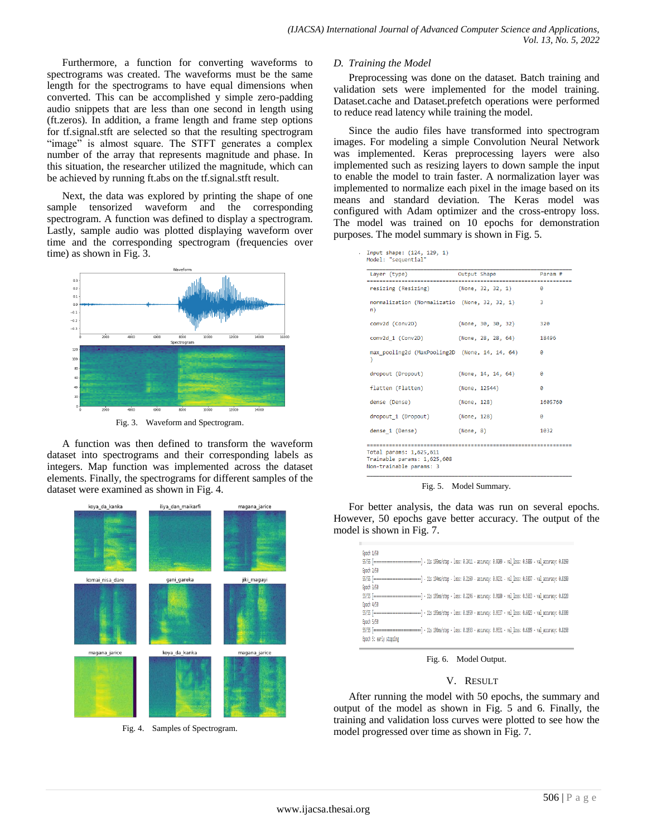Furthermore, a function for converting waveforms to spectrograms was created. The waveforms must be the same length for the spectrograms to have equal dimensions when converted. This can be accomplished y simple zero-padding audio snippets that are less than one second in length using (ft.zeros). In addition, a frame length and frame step options for tf.signal.stft are selected so that the resulting spectrogram "image" is almost square. The STFT generates a complex number of the array that represents magnitude and phase. In this situation, the researcher utilized the magnitude, which can be achieved by running ft.abs on the tf.signal.stft result.

Next, the data was explored by printing the shape of one sample tensorized waveform and the corresponding spectrogram. A function was defined to display a spectrogram. Lastly, sample audio was plotted displaying waveform over time and the corresponding spectrogram (frequencies over time) as shown in Fig. 3.



Fig. 3. Waveform and Spectrogram.

A function was then defined to transform the waveform dataset into spectrograms and their corresponding labels as integers. Map function was implemented across the dataset elements. Finally, the spectrograms for different samples of the dataset were examined as shown in Fig. 4.



Fig. 4. Samples of Spectrogram.

#### *D. Training the Model*

Preprocessing was done on the dataset. Batch training and validation sets were implemented for the model training. Dataset.cache and Dataset.prefetch operations were performed to reduce read latency while training the model.

Since the audio files have transformed into spectrogram images. For modeling a simple Convolution Neural Network was implemented. Keras preprocessing layers were also implemented such as resizing layers to down sample the input to enable the model to train faster. A normalization layer was implemented to normalize each pixel in the image based on its means and standard deviation. The Keras model was configured with Adam optimizer and the cross-entropy loss. The model was trained on 10 epochs for demonstration purposes. The model summary is shown in Fig. 5.

Input shape: (124, 129, 1)<br>Model: "sequential"

| Laver (type)<br>-------                                                                        | Output Shape<br>-------- | Param # |
|------------------------------------------------------------------------------------------------|--------------------------|---------|
| resizing (Resizing)                                                                            | (None, 32, 32, 1)        | ø       |
| normalization (Normalizatio (None, 32, 32, 1)<br>n)                                            |                          | 3       |
| conv2d (Conv2D)                                                                                | (None, 30, 30, 32)       | 320     |
| conv2d 1 (Conv2D)                                                                              | (None, 28, 28, 64)       | 18496   |
| max pooling2d (MaxPooling2D (None, 14, 14, 64)<br>)                                            |                          | a       |
| dropout (Dropout)                                                                              | (None, 14, 14, 64)       | A       |
| flatten (Flatten)                                                                              | (None, 12544)            | A       |
| dense (Dense)                                                                                  | (None, 128)              | 1605760 |
| dropout 1 (Dropout)                                                                            | (None, 128)              | ø       |
| dense 1 (Dense)                                                                                | (None, 8)                | 1032    |
| ---------<br>Total params: 1,625,611<br>Trainable params: 1,625,608<br>Non-trainable params: 3 |                          |         |



For better analysis, the data was run on several epochs. However, 50 epochs gave better accuracy. The output of the model is shown in Fig. 7.

| Epoch 1/50              |                                                                                                                                       |
|-------------------------|---------------------------------------------------------------------------------------------------------------------------------------|
|                         |                                                                                                                                       |
| Epoch 2/50              |                                                                                                                                       |
|                         | 55/55 [------------------------------] - 115 194ms/step - loss: 0.2169 - accuracy: 0.9231 - val loss: 0.5897 - val accuracy: 0.8280   |
| Epoch 3/50              |                                                                                                                                       |
|                         |                                                                                                                                       |
| Epoch 4/50              |                                                                                                                                       |
|                         | 55/55 [--------------------------------] - 11s 195ms/step - loss: 0.1959 - accuracy: 0.9337 - val loss: 0.6023 - val accuracy: 0.8300 |
| Epoch 5/50              |                                                                                                                                       |
|                         |                                                                                                                                       |
| Epoch 5: early stopping |                                                                                                                                       |

Fig. 6. Model Output.

## V. RESULT

After running the model with 50 epochs, the summary and output of the model as shown in Fig. 5 and 6. Finally, the training and validation loss curves were plotted to see how the model progressed over time as shown in Fig. 7.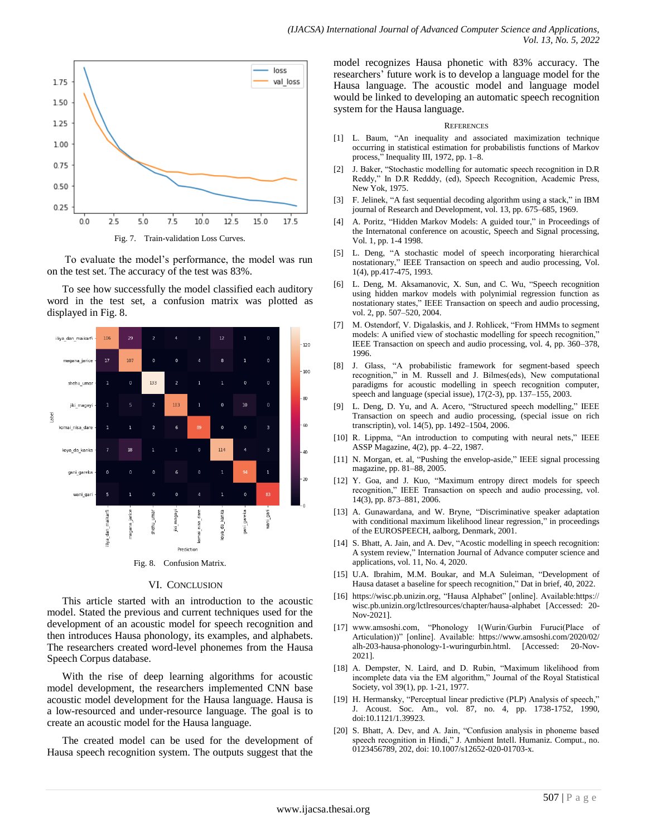

Fig. 7. Train-validation Loss Curves.

To evaluate the model"s performance, the model was run on the test set. The accuracy of the test was 83%.

To see how successfully the model classified each auditory word in the test set, a confusion matrix was plotted as displayed in Fig. 8.



Fig. 8. Confusion Matrix.

#### VI. CONCLUSION

This article started with an introduction to the acoustic model. Stated the previous and current techniques used for the development of an acoustic model for speech recognition and then introduces Hausa phonology, its examples, and alphabets. The researchers created word-level phonemes from the Hausa Speech Corpus database.

With the rise of deep learning algorithms for acoustic model development, the researchers implemented CNN base acoustic model development for the Hausa language. Hausa is a low-resourced and under-resource language. The goal is to create an acoustic model for the Hausa language.

The created model can be used for the development of Hausa speech recognition system. The outputs suggest that the model recognizes Hausa phonetic with 83% accuracy. The researchers' future work is to develop a language model for the Hausa language. The acoustic model and language model would be linked to developing an automatic speech recognition system for the Hausa language.

#### **REFERENCES**

- [1] L. Baum, "An inequality and associated maximization technique occurring in statistical estimation for probabilistis functions of Markov process," Inequality III, 1972, pp. 1–8.
- [2] J. Baker, "Stochastic modelling for automatic speech recognition in D.R Reddy," In D.R Redddy, (ed), Speech Recognition, Academic Press, New Yok, 1975.
- [3] F. Jelinek, "A fast sequential decoding algorithm using a stack," in IBM journal of Research and Development, vol. 13, pp. 675–685, 1969.
- [4] A. Poritz, "Hidden Markov Models: A guided tour," in Proceedings of the Internatonal conference on acoustic, Speech and Signal processing, Vol. 1, pp. 1-4 1998.
- [5] L. Deng, "A stochastic model of speech incorporating hierarchical nostationary," IEEE Transaction on speech and audio processing, Vol. 1(4), pp.417-475, 1993.
- [6] L. Deng, M. Aksamanovic, X. Sun, and C. Wu, "Speech recognition using hidden markov models with polynimial regression function as nostationary states," IEEE Transaction on speech and audio processing, vol. 2, pp. 507–520, 2004.
- [7] M. Ostendorf, V. Digalaskis, and J. Rohlicek, "From HMMs to segment models: A unified view of stochastic modelling for speech recognition," IEEE Transaction on speech and audio processing, vol. 4, pp. 360–378, 1996.
- [8] J. Glass, "A probabilistic framework for segment-based speech recognition," in M. Russell and J. Bilmes(eds), New computational paradigms for acoustic modelling in speech recognition computer, speech and language (special issue), 17(2-3), pp. 137–155, 2003.
- [9] L. Deng, D. Yu, and A. Acero, "Structured speech modelling," IEEE Transaction on speech and audio processing, (special issue on rich transcriptin), vol. 14(5), pp. 1492–1504, 2006.
- [10] R. Lippma, "An introduction to computing with neural nets," IEEE ASSP Magazine, 4(2), pp. 4–22, 1987.
- [11] N. Morgan, et. al, "Pushing the envelop-aside," IEEE signal processing magazine, pp. 81–88, 2005.
- [12] Y. Goa, and J. Kuo, "Maximum entropy direct models for speech recognition," IEEE Transaction on speech and audio processing, vol. 14(3), pp. 873–881, 2006.
- [13] A. Gunawardana, and W. Bryne, "Discriminative speaker adaptation with conditional maximum likelihood linear regression," in proceedings of the EUROSPEECH, aalborg, Denmark, 2001.
- [14] S. Bhatt, A. Jain, and A. Dev, "Acostic modelling in speech recognition: A system review," Internation Journal of Advance computer science and applications, vol. 11, No. 4, 2020.
- [15] U.A. Ibrahim, M.M. Boukar, and M.A Suleiman, "Development of Hausa dataset a baseline for speech recognition," Dat in brief, 40, 2022.
- [16] https://wisc.pb.unizin.org, "Hausa Alphabet" [online]. Available:https:// wisc.pb.unizin.org/lctlresources/chapter/hausa-alphabet [Accessed: 20- Nov-2021].
- [17] www.amsoshi.com, "Phonology 1(Wurin/Gurbin Furuci(Place of Articulation))" [online]. Available: https://www.amsoshi.com/2020/02/ alh-203-hausa-phonology-1-wuringurbin.html. [Accessed: 20-Nov-2021].
- [18] A. Dempster, N. Laird, and D. Rubin, "Maximum likelihood from incomplete data via the EM algorithm," Journal of the Royal Statistical Society, vol 39(1), pp. 1-21, 1977.
- [19] H. Hermansky, "Perceptual linear predictive (PLP) Analysis of speech," J. Acoust. Soc. Am., vol. 87, no. 4, pp. 1738-1752, 1990, doi:10.1121/1.39923.
- [20] S. Bhatt, A. Dev, and A. Jain, "Confusion analysis in phoneme based speech recognition in Hindi," J. Ambient Intell. Humaniz. Comput., no. 0123456789, 202, doi: 10.1007/s12652-020-01703-x.